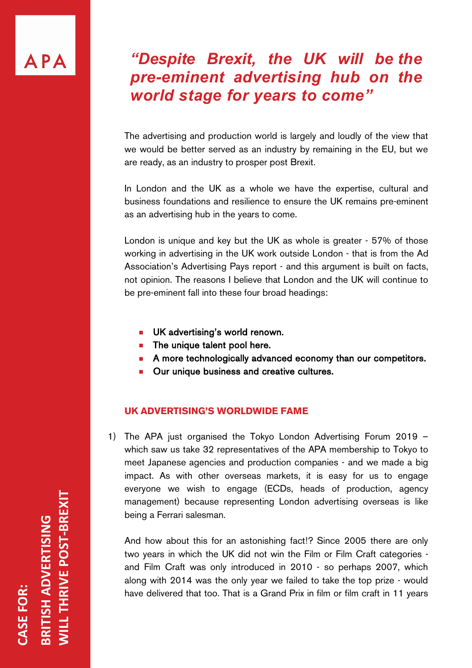# APA

# *"Despite Brexit, the UK will be the pre-eminent advertising hub on the world stage for years to come"*

The advertising and production world is largely and loudly of the view that we would be better served as an industry by remaining in the EU, but we are ready, as an industry to prosper post Brexit.

In London and the UK as a whole we have the expertise, cultural and business foundations and resilience to ensure the UK remains pre-eminent as an advertising hub in the years to come.

London is unique and key but the UK as whole is greater - 57% of those working in advertising in the UK work outside London - that is from the Ad Association's Advertising Pays report - and this argument is built on facts, not opinion. The reasons I believe that London and the UK will continue to be pre-eminent fall into these four broad headings:

- **No. UK advertising's world renown.**
- $\blacksquare$  The unique talent pool here.
- **A** more technologically advanced economy than our competitors.
- **n** Our unique business and creative cultures.

# **UK ADVERTISING'S WORLDWIDE FAME**

1) The APA just organised the Tokyo London Advertising Forum 2019 – which saw us take 32 representatives of the APA membership to Tokyo to meet Japanese agencies and production companies - and we made a big impact. As with other overseas markets, it is easy for us to engage everyone we wish to engage (ECDs, heads of production, agency management) because representing London advertising overseas is like being a Ferrari salesman.

And how about this for an astonishing fact!? Since 2005 there are only two years in which the UK did not win the Film or Film Craft categories and Film Craft was only introduced in 2010 - so perhaps 2007, which along with 2014 was the only year we failed to take the top prize - would have delivered that too. That is a Grand Prix in film or film craft in 11 years

**WILL THRIVE POST-BREXIT VILL THRIVE POST-BREXIT BRITISH ADVERTISING BRITISH ADVERTISING** ASE FOR: **CASE FOR:**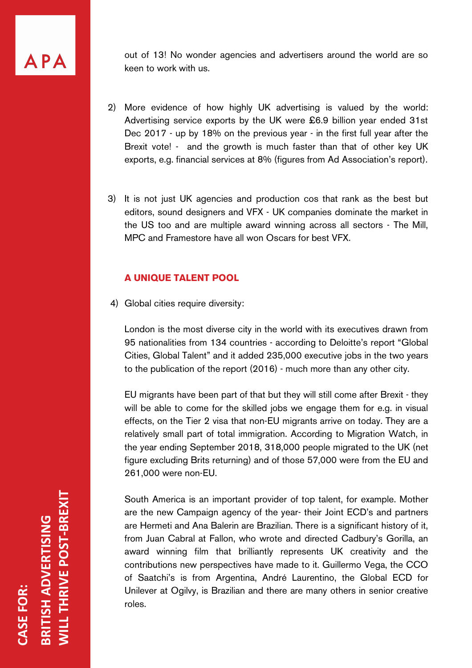APA

out of 13! No wonder agencies and advertisers around the world are so keen to work with us.

- 2) More evidence of how highly UK advertising is valued by the world: Advertising service exports by the UK were £6.9 billion year ended 31st Dec 2017 - up by 18% on the previous year - in the first full year after the Brexit vote! - and the growth is much faster than that of other key UK exports, e.g. financial services at 8% (figures from Ad Association's report).
- 3) It is not just UK agencies and production cos that rank as the best but editors, sound designers and VFX - UK companies dominate the market in the US too and are multiple award winning across all sectors - The Mill, MPC and Framestore have all won Oscars for best VFX.

#### **A UNIQUE TALENT POOL**

4) Global cities require diversity:

London is the most diverse city in the world with its executives drawn from 95 nationalities from 134 countries - according to Deloitte's report "Global Cities, Global Talent" and it added 235,000 executive jobs in the two years to the publication of the report (2016) - much more than any other city.

EU migrants have been part of that but they will still come after Brexit - they will be able to come for the skilled jobs we engage them for e.g. in visual effects, on the Tier 2 visa that non-EU migrants arrive on today. They are a relatively small part of total immigration. According to Migration Watch, in the year ending September 2018, 318,000 people migrated to the UK (net figure excluding Brits returning) and of those 57,000 were from the EU and 261,000 were non-EU.

South America is an important provider of top talent, for example. Mother are the new Campaign agency of the year- their Joint ECD's and partners are Hermeti and Ana Balerin are Brazilian. There is a significant history of it, from Juan Cabral at Fallon, who wrote and directed Cadbury's Gorilla, an award winning film that brilliantly represents UK creativity and the contributions new perspectives have made to it. Guillermo Vega, the CCO of Saatchi's is from Argentina, André Laurentino, the Global ECD for Unilever at Ogilvy, is Brazilian and there are many others in senior creative roles.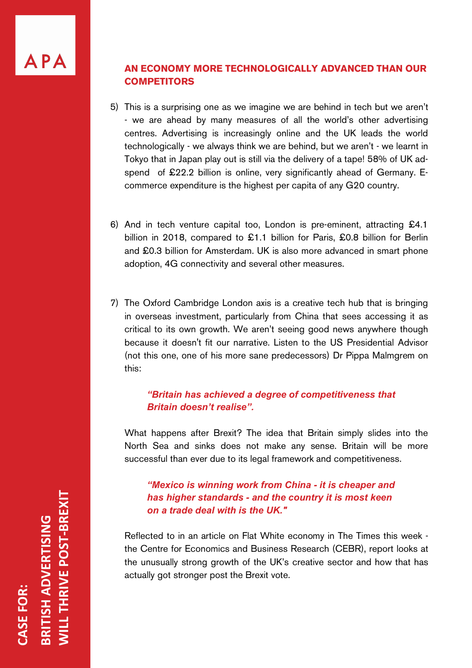# **AN ECONOMY MORE TECHNOLOGICALLY ADVANCED THAN OUR COMPETITORS**

- 5) This is a surprising one as we imagine we are behind in tech but we aren't - we are ahead by many measures of all the world's other advertising centres. Advertising is increasingly online and the UK leads the world technologically - we always think we are behind, but we aren't - we learnt in Tokyo that in Japan play out is still via the delivery of a tape! 58% of UK adspend of £22.2 billion is online, very significantly ahead of Germany. Ecommerce expenditure is the highest per capita of any G20 country.
- 6) And in tech venture capital too, London is pre-eminent, attracting £4.1 billion in 2018, compared to £1.1 billion for Paris, £0.8 billion for Berlin and £0.3 billion for Amsterdam. UK is also more advanced in smart phone adoption, 4G connectivity and several other measures.
- 7) The Oxford Cambridge London axis is a creative tech hub that is bringing in overseas investment, particularly from China that sees accessing it as critical to its own growth. We aren't seeing good news anywhere though because it doesn't fit our narrative. Listen to the US Presidential Advisor (not this one, one of his more sane predecessors) Dr Pippa Malmgrem on this:

# *"Britain has achieved a degree of competitiveness that Britain doesn't realise".*

What happens after Brexit? The idea that Britain simply slides into the North Sea and sinks does not make any sense. Britain will be more successful than ever due to its legal framework and competitiveness.

# *"Mexico is winning work from China - it is cheaper and has higher standards - and the country it is most keen on a trade deal with is the UK."*

Reflected to in an article on Flat White economy in The Times this week the Centre for Economics and Business Research (CEBR), report looks at the unusually strong growth of the UK's creative sector and how that has actually got stronger post the Brexit vote.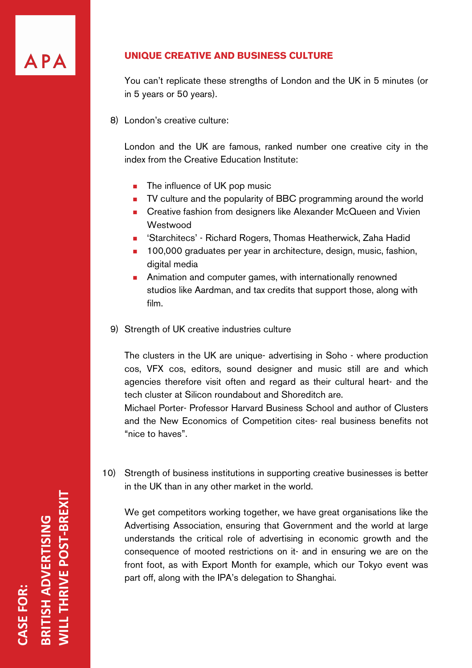

#### **UNIQUE CREATIVE AND BUSINESS CULTURE**

You can't replicate these strengths of London and the UK in 5 minutes (or in 5 years or 50 years).

8) London's creative culture:

London and the UK are famous, ranked number one creative city in the index from the Creative Education Institute:

- $\blacksquare$  The influence of UK pop music
- TV culture and the popularity of BBC programming around the world
- **n** Creative fashion from designers like Alexander McQueen and Vivien **Westwood**
- 'Starchitecs' Richard Rogers, Thomas Heatherwick, Zaha Hadid
- **100,000 graduates per year in architecture, design, music, fashion,** digital media
- **n** Animation and computer games, with internationally renowned studios like Aardman, and tax credits that support those, along with film.
- 9) Strength of UK creative industries culture

The clusters in the UK are unique- advertising in Soho - where production cos, VFX cos, editors, sound designer and music still are and which agencies therefore visit often and regard as their cultural heart- and the tech cluster at Silicon roundabout and Shoreditch are.

Michael Porter- Professor Harvard Business School and author of Clusters and the New Economics of Competition cites- real business benefits not "nice to haves".

10) Strength of business institutions in supporting creative businesses is better in the UK than in any other market in the world.

We get competitors working together, we have great organisations like the Advertising Association, ensuring that Government and the world at large understands the critical role of advertising in economic growth and the consequence of mooted restrictions on it- and in ensuring we are on the front foot, as with Export Month for example, which our Tokyo event was part off, along with the IPA's delegation to Shanghai.

**WILL THRIVE POST-BREXIT ILL THRIVE POST-BREXIT** RITISH ADVERTISING **BRITISH ADVERTISING** ASE FOR: **CASE FOR:**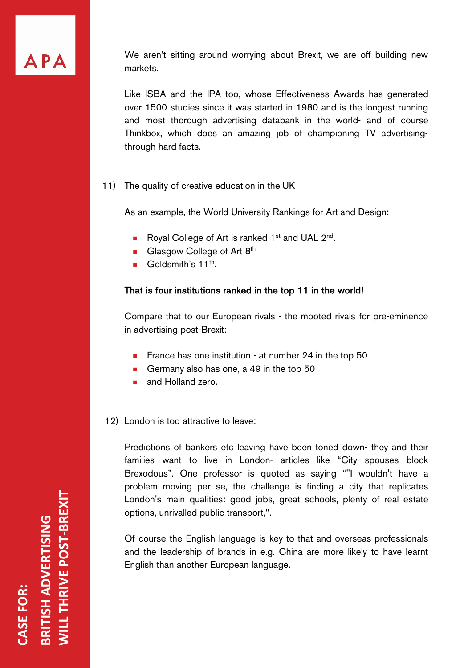

We aren't sitting around worrying about Brexit, we are off building new markets.

Like ISBA and the IPA too, whose Effectiveness Awards has generated over 1500 studies since it was started in 1980 and is the longest running and most thorough advertising databank in the world- and of course Thinkbox, which does an amazing job of championing TV advertisingthrough hard facts.

11) The quality of creative education in the UK

As an example, the World University Rankings for Art and Design:

- Royal College of Art is ranked 1<sup>st</sup> and UAL 2<sup>nd</sup>.
- Glasgow College of Art  $8<sup>th</sup>$
- Goldsmith's  $11^{th}$ .

# That is four institutions ranked in the top 11 in the world!

Compare that to our European rivals - the mooted rivals for pre-eminence in advertising post-Brexit:

- **France has one institution at number 24 in the top 50**
- Germany also has one, a 49 in the top  $50$
- **n** and Holland zero.

12) London is too attractive to leave:

Predictions of bankers etc leaving have been toned down- they and their families want to live in London- articles like "City spouses block Brexodous". One professor is quoted as saying ""I wouldn't have a problem moving per se, the challenge is finding a city that replicates London's main qualities: good jobs, great schools, plenty of real estate options, unrivalled public transport,".

Of course the English language is key to that and overseas professionals and the leadership of brands in e.g. China are more likely to have learnt English than another European language.

**WILL THRIVE POST-BREXIT RITISH ADVERTISING<br>VILL THRIVE POST-BREXIT BRITISH ADVERTISING** ASE FOR: **CASE FOR:**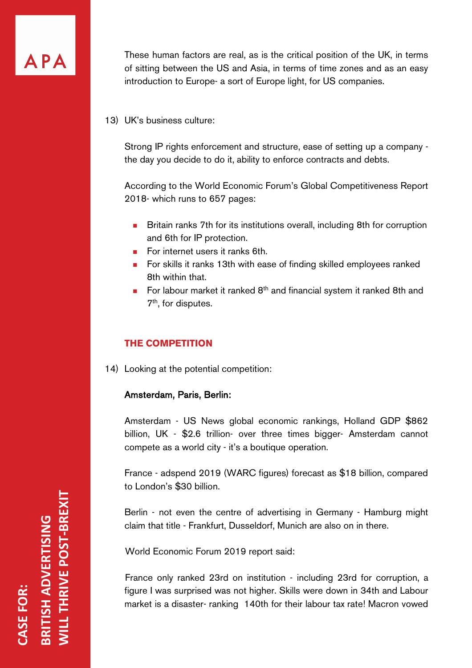

These human factors are real, as is the critical position of the UK, in terms of sitting between the US and Asia, in terms of time zones and as an easy introduction to Europe- a sort of Europe light, for US companies.

#### 13) UK's business culture:

Strong IP rights enforcement and structure, ease of setting up a company the day you decide to do it, ability to enforce contracts and debts.

According to the World Economic Forum's Global Competitiveness Report 2018- which runs to 657 pages:

- **n** Britain ranks 7th for its institutions overall, including 8th for corruption and 6th for IP protection.
- $\blacksquare$  For internet users it ranks 6th.
- **n** For skills it ranks 13th with ease of finding skilled employees ranked 8th within that.
- For labour market it ranked  $8<sup>th</sup>$  and financial system it ranked 8th and 7<sup>th</sup>, for disputes.

# **THE COMPETITION**

14) Looking at the potential competition:

#### Amsterdam, Paris, Berlin:

Amsterdam - US News global economic rankings, Holland GDP \$862 billion, UK - \$2.6 trillion- over three times bigger- Amsterdam cannot compete as a world city - it's a boutique operation.

France - adspend 2019 (WARC figures) forecast as \$18 billion, compared to London's \$30 billion.

Berlin - not even the centre of advertising in Germany - Hamburg might claim that title - Frankfurt, Dusseldorf, Munich are also on in there.

World Economic Forum 2019 report said:

France only ranked 23rd on institution - including 23rd for corruption, a figure I was surprised was not higher. Skills were down in 34th and Labour market is a disaster- ranking 140th for their labour tax rate! Macron vowed

**WILL THRIVE POST-BREXIT** ILL THRIVE POST-BREXIT RITISH ADVERTISING **BRITISH ADVERTISING** ASE FOR: **CASE FOR:**